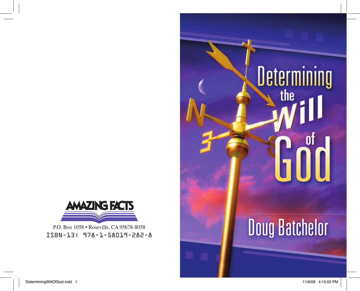# Determining<br>Samuel 11

### **Doug Batchelor**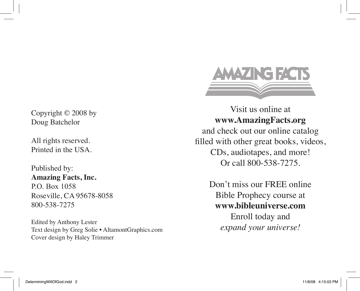Copyright © 2008 by Doug Batchelor

All rights reserved. Printed in the USA.

Published by: **Amazing Facts, Inc.** P.O. Box 1058 Roseville, CA 95678-8058 800-538-7275

Edited by Anthony Lester Text design by Greg Solie • AltamontGraphics.com Cover design by Haley Trimmer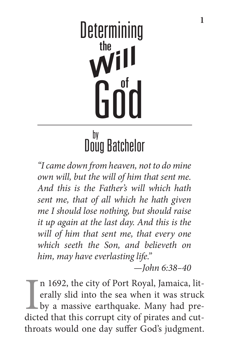## **Determining** the Goïd

#### Doug Batchelor by

*"I came down from heaven, not to do mine own will, but the will of him that sent me. And this is the Father's will which hath sent me, that of all which he hath given me I should lose nothing, but should raise it up again at the last day. And this is the will of him that sent me, that every one which seeth the Son, and believeth on him, may have everlasting life."*

*—John 6:38–40*

In 1692, the city of Port Royal, Jamaica, literally slid into the sea when it was struck<br>by a massive earthquake. Many had pre-<br>dicted that this corrupt city of pirates and cutn 1692, the city of Port Royal, Jamaica, literally slid into the sea when it was struck by a massive earthquake. Many had prethroats would one day suffer God's judgment.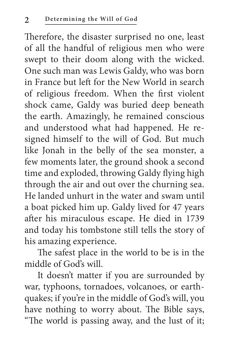Therefore, the disaster surprised no one, least of all the handful of religious men who were swept to their doom along with the wicked. One such man was Lewis Galdy, who was born in France but left for the New World in search of religious freedom. When the first violent shock came, Galdy was buried deep beneath the earth. Amazingly, he remained conscious and understood what had happened. He resigned himself to the will of God. But much like Jonah in the belly of the sea monster, a few moments later, the ground shook a second time and exploded, throwing Galdy flying high through the air and out over the churning sea. He landed unhurt in the water and swam until a boat picked him up. Galdy lived for 47 years after his miraculous escape. He died in 1739 and today his tombstone still tells the story of his amazing experience.

The safest place in the world to be is in the middle of God's will.

It doesn't matter if you are surrounded by war, typhoons, tornadoes, volcanoes, or earthquakes; if you're in the middle of God's will, you have nothing to worry about. The Bible says, "The world is passing away, and the lust of it;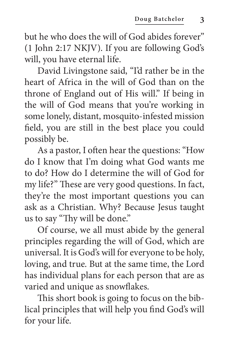but he who does the will of God abides forever" (1 John 2:17 NKJV). If you are following God's will, you have eternal life.

David Livingstone said, "I'd rather be in the heart of Africa in the will of God than on the throne of England out of His will." If being in the will of God means that you're working in some lonely, distant, mosquito-infested mission field, you are still in the best place you could possibly be.

As a pastor, I often hear the questions: "How do I know that I'm doing what God wants me to do? How do I determine the will of God for my life?" These are very good questions. In fact, they're the most important questions you can ask as a Christian. Why? Because Jesus taught us to say "Thy will be done."

Of course, we all must abide by the general principles regarding the will of God, which are universal. It is God's will for everyone to be holy, loving, and true. But at the same time, the Lord has individual plans for each person that are as varied and unique as snowflakes.

This short book is going to focus on the biblical principles that will help you find God's will for your life.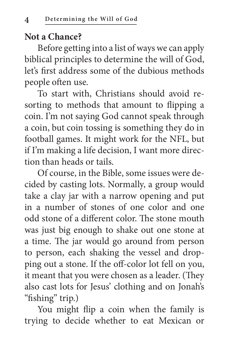#### **Not a Chance?**

Before getting into a list of ways we can apply biblical principles to determine the will of God, let's first address some of the dubious methods people often use.

To start with, Christians should avoid resorting to methods that amount to flipping a coin. I'm not saying God cannot speak through a coin, but coin tossing is something they do in football games. It might work for the NFL, but if I'm making a life decision, I want more direction than heads or tails.

Of course, in the Bible, some issues were decided by casting lots. Normally, a group would take a clay jar with a narrow opening and put in a number of stones of one color and one odd stone of a different color. The stone mouth was just big enough to shake out one stone at a time. The jar would go around from person to person, each shaking the vessel and dropping out a stone. If the off-color lot fell on you, it meant that you were chosen as a leader. (They also cast lots for Jesus' clothing and on Jonah's "fishing" trip.)

You might flip a coin when the family is trying to decide whether to eat Mexican or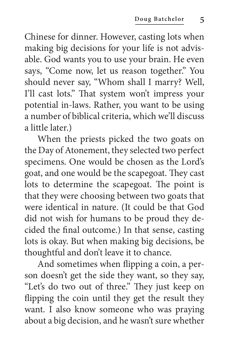Chinese for dinner. However, casting lots when making big decisions for your life is not advisable. God wants you to use your brain. He even says, "Come now, let us reason together." You should never say, "Whom shall I marry? Well, I'll cast lots." That system won't impress your potential in-laws. Rather, you want to be using a number of biblical criteria, which we'll discuss a little later.)

When the priests picked the two goats on the Day of Atonement, they selected two perfect specimens. One would be chosen as the Lord's goat, and one would be the scapegoat. They cast lots to determine the scapegoat. The point is that they were choosing between two goats that were identical in nature. (It could be that God did not wish for humans to be proud they decided the final outcome.) In that sense, casting lots is okay. But when making big decisions, be thoughtful and don't leave it to chance.

And sometimes when flipping a coin, a person doesn't get the side they want, so they say, "Let's do two out of three." They just keep on flipping the coin until they get the result they want. I also know someone who was praying about a big decision, and he wasn't sure whether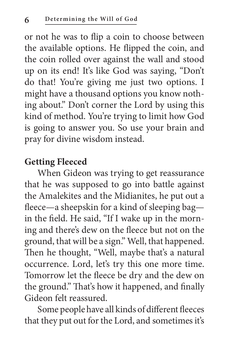or not he was to flip a coin to choose between the available options. He flipped the coin, and the coin rolled over against the wall and stood up on its end! It's like God was saying, "Don't do that! You're giving me just two options. I might have a thousand options you know nothing about." Don't corner the Lord by using this kind of method. You're trying to limit how God is going to answer you. So use your brain and pray for divine wisdom instead.

#### **Getting Fleeced**

When Gideon was trying to get reassurance that he was supposed to go into battle against the Amalekites and the Midianites, he put out a fleece—a sheepskin for a kind of sleeping bag in the field. He said, "If I wake up in the morning and there's dew on the fleece but not on the ground, that will be a sign." Well, that happened. Then he thought, "Well, maybe that's a natural occurrence. Lord, let's try this one more time. Tomorrow let the fleece be dry and the dew on the ground." That's how it happened, and finally Gideon felt reassured.

Some people have all kinds of different fleeces that they put out for the Lord, and sometimes it's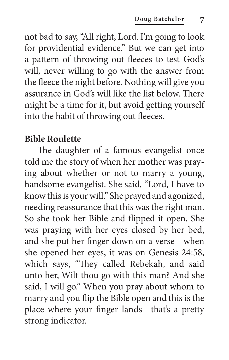not bad to say, "All right, Lord. I'm going to look for providential evidence." But we can get into a pattern of throwing out fleeces to test God's will, never willing to go with the answer from the fleece the night before. Nothing will give you assurance in God's will like the list below. There might be a time for it, but avoid getting yourself into the habit of throwing out fleeces.

#### **Bible Roulette**

The daughter of a famous evangelist once told me the story of when her mother was praying about whether or not to marry a young, handsome evangelist. She said, "Lord, I have to know this is your will." She prayed and agonized, needing reassurance that this was the right man. So she took her Bible and flipped it open. She was praying with her eyes closed by her bed, and she put her finger down on a verse—when she opened her eyes, it was on Genesis 24:58, which says, "They called Rebekah, and said unto her, Wilt thou go with this man? And she said, I will go." When you pray about whom to marry and you flip the Bible open and this is the place where your finger lands—that's a pretty strong indicator.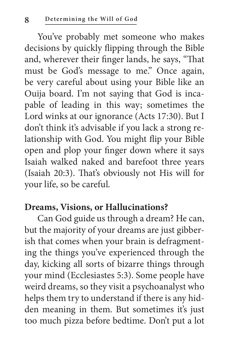You've probably met someone who makes decisions by quickly flipping through the Bible and, wherever their finger lands, he says, "That must be God's message to me." Once again, be very careful about using your Bible like an Ouija board. I'm not saying that God is incapable of leading in this way; sometimes the Lord winks at our ignorance (Acts 17:30). But I don't think it's advisable if you lack a strong relationship with God. You might flip your Bible open and plop your finger down where it says Isaiah walked naked and barefoot three years (Isaiah 20:3). That's obviously not His will for your life, so be careful.

#### **Dreams, Visions, or Hallucinations?**

Can God guide us through a dream? He can, but the majority of your dreams are just gibberish that comes when your brain is defragmenting the things you've experienced through the day, kicking all sorts of bizarre things through your mind (Ecclesiastes 5:3). Some people have weird dreams, so they visit a psychoanalyst who helps them try to understand if there is any hidden meaning in them. But sometimes it's just too much pizza before bedtime. Don't put a lot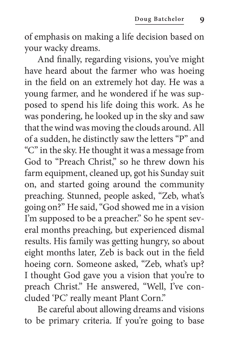of emphasis on making a life decision based on your wacky dreams.

And finally, regarding visions, you've might have heard about the farmer who was hoeing in the field on an extremely hot day. He was a young farmer, and he wondered if he was supposed to spend his life doing this work. As he was pondering, he looked up in the sky and saw that the wind was moving the clouds around. All of a sudden, he distinctly saw the letters "P" and "C" in the sky. He thought it was a message from God to "Preach Christ," so he threw down his farm equipment, cleaned up, got his Sunday suit on, and started going around the community preaching. Stunned, people asked, "Zeb, what's going on?" He said, "God showed me in a vision I'm supposed to be a preacher." So he spent several months preaching, but experienced dismal results. His family was getting hungry, so about eight months later, Zeb is back out in the field hoeing corn. Someone asked, "Zeb, what's up? I thought God gave you a vision that you're to preach Christ." He answered, "Well, I've concluded 'PC' really meant Plant Corn."

Be careful about allowing dreams and visions to be primary criteria. If you're going to base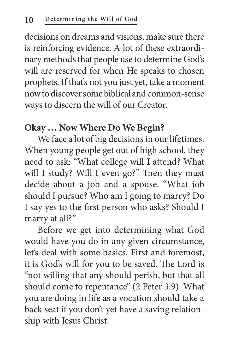decisions on dreams and visions, make sure there is reinforcing evidence. A lot of these extraordinary methods that people use to determine God's will are reserved for when He speaks to chosen prophets. If that's not you just yet, take a moment now to discover some biblical and common-sense ways to discern the will of our Creator.

#### **Okay … Now Where Do We Begin?**

We face a lot of big decisions in our lifetimes. When young people get out of high school, they need to ask: "What college will I attend? What will I study? Will I even go?" Then they must decide about a job and a spouse. "What job should I pursue? Who am I going to marry? Do I say yes to the first person who asks? Should I marry at all?"

Before we get into determining what God would have you do in any given circumstance, let's deal with some basics. First and foremost, it is God's will for you to be saved. The Lord is "not willing that any should perish, but that all should come to repentance" (2 Peter 3:9). What you are doing in life as a vocation should take a back seat if you don't yet have a saving relationship with Jesus Christ.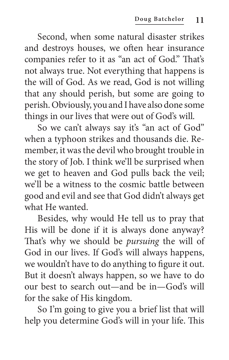Second, when some natural disaster strikes and destroys houses, we often hear insurance companies refer to it as "an act of God." That's not always true. Not everything that happens is the will of God. As we read, God is not willing that any should perish, but some are going to perish. Obviously, you and I have also done some things in our lives that were out of God's will.

So we can't always say it's "an act of God" when a typhoon strikes and thousands die. Remember, it was the devil who brought trouble in the story of Job. I think we'll be surprised when we get to heaven and God pulls back the veil; we'll be a witness to the cosmic battle between good and evil and see that God didn't always get what He wanted.

Besides, why would He tell us to pray that His will be done if it is always done anyway? That's why we should be *pursuing* the will of God in our lives. If God's will always happens, we wouldn't have to do anything to figure it out. But it doesn't always happen, so we have to do our best to search out—and be in—God's will for the sake of His kingdom.

So I'm going to give you a brief list that will help you determine God's will in your life. This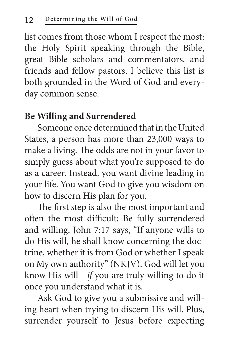list comes from those whom I respect the most: the Holy Spirit speaking through the Bible, great Bible scholars and commentators, and friends and fellow pastors. I believe this list is both grounded in the Word of God and everyday common sense.

#### **Be Willing and Surrendered**

Someone once determined that in the United States, a person has more than 23,000 ways to make a living. The odds are not in your favor to simply guess about what you're supposed to do as a career. Instead, you want divine leading in your life. You want God to give you wisdom on how to discern His plan for you.

The first step is also the most important and often the most difficult: Be fully surrendered and willing. John 7:17 says, "If anyone wills to do His will, he shall know concerning the doctrine, whether it is from God or whether I speak on My own authority" (NKJV). God will let you know His will—*if* you are truly willing to do it once you understand what it is.

Ask God to give you a submissive and willing heart when trying to discern His will. Plus, surrender yourself to Jesus before expecting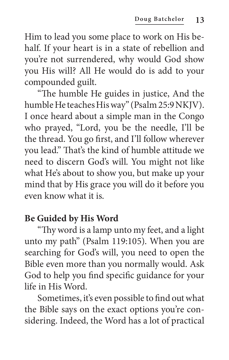Him to lead you some place to work on His behalf. If your heart is in a state of rebellion and you're not surrendered, why would God show you His will? All He would do is add to your compounded guilt.

"The humble He guides in justice, And the humble He teaches His way" (Psalm 25:9 NKJV). I once heard about a simple man in the Congo who prayed, "Lord, you be the needle, I'll be the thread. You go first, and I'll follow wherever you lead." That's the kind of humble attitude we need to discern God's will. You might not like what He's about to show you, but make up your mind that by His grace you will do it before you even know what it is.

#### **Be Guided by His Word**

"Thy word is a lamp unto my feet, and a light unto my path" (Psalm 119:105). When you are searching for God's will, you need to open the Bible even more than you normally would. Ask God to help you find specific guidance for your life in His Word.

Sometimes, it's even possible to find out what the Bible says on the exact options you're considering. Indeed, the Word has a lot of practical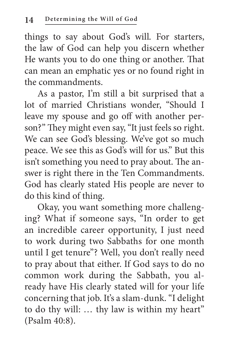things to say about God's will. For starters, the law of God can help you discern whether He wants you to do one thing or another. That can mean an emphatic yes or no found right in the commandments.

As a pastor, I'm still a bit surprised that a lot of married Christians wonder, "Should I leave my spouse and go off with another person?" They might even say, "It just feels so right. We can see God's blessing. We've got so much peace. We see this as God's will for us." But this isn't something you need to pray about. The answer is right there in the Ten Commandments. God has clearly stated His people are never to do this kind of thing.

Okay, you want something more challenging? What if someone says, "In order to get an incredible career opportunity, I just need to work during two Sabbaths for one month until I get tenure"? Well, you don't really need to pray about that either. If God says to do no common work during the Sabbath, you already have His clearly stated will for your life concerning that job. It's a slam-dunk. "I delight to do thy will: … thy law is within my heart" (Psalm 40:8).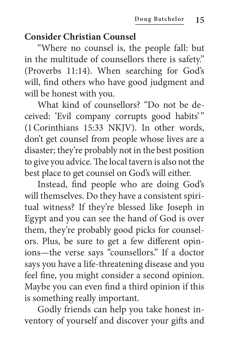#### **Consider Christian Counsel**

"Where no counsel is, the people fall: but in the multitude of counsellors there is safety." (Proverbs 11:14). When searching for God's will, find others who have good judgment and will be honest with you.

What kind of counsellors? "Do not be deceived: 'Evil company corrupts good habits'" (1Corinthians 15:33 NKJV). In other words, don't get counsel from people whose lives are a disaster; they're probably not in the best position to give you advice. The local tavern is also not the best place to get counsel on God's will either.

Instead, find people who are doing God's will themselves. Do they have a consistent spiritual witness? If they're blessed like Joseph in Egypt and you can see the hand of God is over them, they're probably good picks for counselors. Plus, be sure to get a few different opinions—the verse says "counsellors." If a doctor says you have a life-threatening disease and you feel fine, you might consider a second opinion. Maybe you can even find a third opinion if this is something really important.

Godly friends can help you take honest inventory of yourself and discover your gifts and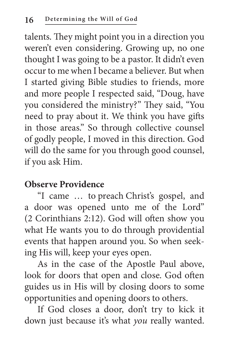talents. They might point you in a direction you weren't even considering. Growing up, no one thought I was going to be a pastor. It didn't even occur to me when I became a believer. But when I started giving Bible studies to friends, more and more people I respected said, "Doug, have you considered the ministry?" They said, "You need to pray about it. We think you have gifts in those areas." So through collective counsel of godly people, I moved in this direction. God will do the same for you through good counsel, if you ask Him.

#### **Observe Providence**

"I came … to preach Christ's gospel, and a door was opened unto me of the Lord" (2 Corinthians 2:12). God will often show you what He wants you to do through providential events that happen around you. So when seeking His will, keep your eyes open.

As in the case of the Apostle Paul above, look for doors that open and close. God often guides us in His will by closing doors to some opportunities and opening doors to others.

If God closes a door, don't try to kick it down just because it's what *you* really wanted.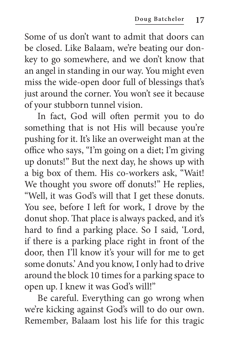Some of us don't want to admit that doors can be closed. Like Balaam, we're beating our donkey to go somewhere, and we don't know that an angel in standing in our way. You might even miss the wide-open door full of blessings that's just around the corner. You won't see it because of your stubborn tunnel vision.

In fact, God will often permit you to do something that is not His will because you're pushing for it. It's like an overweight man at the office who says, "I'm going on a diet; I'm giving up donuts!" But the next day, he shows up with a big box of them. His co-workers ask, "Wait! We thought you swore off donuts!" He replies, "Well, it was God's will that I get these donuts. You see, before I left for work, I drove by the donut shop. That place is always packed, and it's hard to find a parking place. So I said, 'Lord, if there is a parking place right in front of the door, then I'll know it's your will for me to get some donuts.' And you know, I only had to drive around the block 10 times for a parking space to open up. I knew it was God's will!"

Be careful. Everything can go wrong when we're kicking against God's will to do our own. Remember, Balaam lost his life for this tragic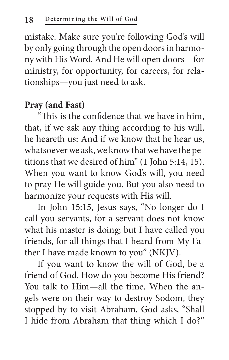mistake. Make sure you're following God's will by only going through the open doors in harmony with His Word. And He will open doors—for ministry, for opportunity, for careers, for relationships—you just need to ask.

#### **Pray (and Fast)**

"This is the confidence that we have in him, that, if we ask any thing according to his will, he heareth us: And if we know that he hear us, whatsoever we ask, we know that we have the petitions that we desired of him" (1 John 5:14, 15). When you want to know God's will, you need to pray He will guide you. But you also need to harmonize your requests with His will.

In John 15:15, Jesus says, "No longer do I call you servants, for a servant does not know what his master is doing; but I have called you friends, for all things that I heard from My Father I have made known to you" (NKJV).

If you want to know the will of God, be a friend of God. How do you become His friend? You talk to Him—all the time. When the angels were on their way to destroy Sodom, they stopped by to visit Abraham. God asks, "Shall I hide from Abraham that thing which I do?"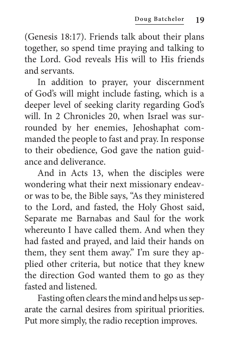(Genesis 18:17). Friends talk about their plans together, so spend time praying and talking to the Lord. God reveals His will to His friends and servants.

In addition to prayer, your discernment of God's will might include fasting, which is a deeper level of seeking clarity regarding God's will. In 2 Chronicles 20, when Israel was surrounded by her enemies, Jehoshaphat commanded the people to fast and pray. In response to their obedience, God gave the nation guidance and deliverance.

And in Acts 13, when the disciples were wondering what their next missionary endeavor was to be, the Bible says, "As they ministered to the Lord, and fasted, the Holy Ghost said, Separate me Barnabas and Saul for the work whereunto I have called them. And when they had fasted and prayed, and laid their hands on them, they sent them away." I'm sure they applied other criteria, but notice that they knew the direction God wanted them to go as they fasted and listened.

Fasting often clears the mind and helps us separate the carnal desires from spiritual priorities. Put more simply, the radio reception improves.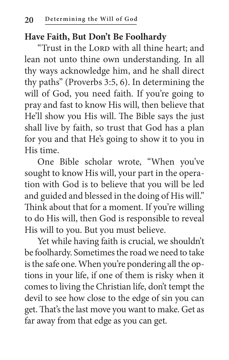#### **Have Faith, But Don't Be Foolhardy**

"Trust in the LORD with all thine heart; and lean not unto thine own understanding. In all thy ways acknowledge him, and he shall direct thy paths" (Proverbs 3:5, 6). In determining the will of God, you need faith. If you're going to pray and fast to know His will, then believe that He'll show you His will. The Bible says the just shall live by faith, so trust that God has a plan for you and that He's going to show it to you in His time.

One Bible scholar wrote, "When you've sought to know His will, your part in the operation with God is to believe that you will be led and guided and blessed in the doing of His will." Think about that for a moment. If you're willing to do His will, then God is responsible to reveal His will to you. But you must believe.

Yet while having faith is crucial, we shouldn't be foolhardy. Sometimes the road we need to take is the safe one. When you're pondering all the options in your life, if one of them is risky when it comes to living the Christian life, don't tempt the devil to see how close to the edge of sin you can get. That's the last move you want to make. Get as far away from that edge as you can get.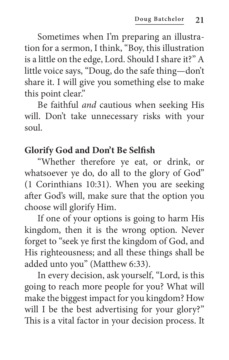Sometimes when I'm preparing an illustration for a sermon, I think, "Boy, this illustration is a little on the edge, Lord. Should I share it?" A little voice says, "Doug, do the safe thing—don't share it. I will give you something else to make this point clear."

Be faithful *and* cautious when seeking His will. Don't take unnecessary risks with your soul.

#### **Glorify God and Don't Be Selfish**

"Whether therefore ye eat, or drink, or whatsoever ye do, do all to the glory of God" (1 Corinthians 10:31). When you are seeking after God's will, make sure that the option you choose will glorify Him.

If one of your options is going to harm His kingdom, then it is the wrong option. Never forget to "seek ye first the kingdom of God, and His righteousness; and all these things shall be added unto you" (Matthew 6:33).

In every decision, ask yourself, "Lord, is this going to reach more people for you? What will make the biggest impact for you kingdom? How will I be the best advertising for your glory?" This is a vital factor in your decision process. It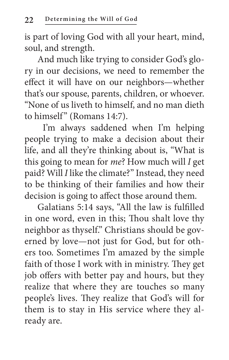is part of loving God with all your heart, mind, soul, and strength.

And much like trying to consider God's glory in our decisions, we need to remember the effect it will have on our neighbors—whether that's our spouse, parents, children, or whoever. "None of us liveth to himself, and no man dieth to himself" (Romans 14:7).

 I'm always saddened when I'm helping people trying to make a decision about their life, and all they're thinking about is, "What is this going to mean for *me*? How much will *I* get paid? Will *I* like the climate?" Instead, they need to be thinking of their families and how their decision is going to affect those around them.

Galatians 5:14 says, "All the law is fulfilled in one word, even in this; Thou shalt love thy neighbor as thyself." Christians should be governed by love—not just for God, but for others too. Sometimes I'm amazed by the simple faith of those I work with in ministry. They get job offers with better pay and hours, but they realize that where they are touches so many people's lives. They realize that God's will for them is to stay in His service where they already are.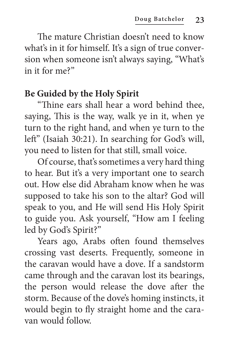The mature Christian doesn't need to know what's in it for himself. It's a sign of true conversion when someone isn't always saying, "What's in it for me?"

#### **Be Guided by the Holy Spirit**

"Thine ears shall hear a word behind thee, saying, This is the way, walk ye in it, when ye turn to the right hand, and when ye turn to the left" (Isaiah 30:21). In searching for God's will, you need to listen for that still, small voice.

Of course, that's sometimes a very hard thing to hear. But it's a very important one to search out. How else did Abraham know when he was supposed to take his son to the altar? God will speak to you, and He will send His Holy Spirit to guide you. Ask yourself, "How am I feeling led by God's Spirit?"

Years ago, Arabs often found themselves crossing vast deserts. Frequently, someone in the caravan would have a dove. If a sandstorm came through and the caravan lost its bearings, the person would release the dove after the storm. Because of the dove's homing instincts, it would begin to fly straight home and the caravan would follow.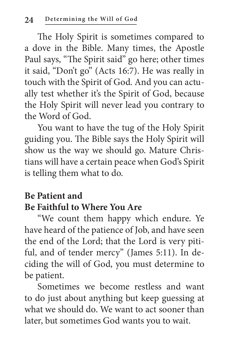The Holy Spirit is sometimes compared to a dove in the Bible. Many times, the Apostle Paul says, "The Spirit said" go here; other times it said, "Don't go" (Acts 16:7). He was really in touch with the Spirit of God. And you can actually test whether it's the Spirit of God, because the Holy Spirit will never lead you contrary to the Word of God.

You want to have the tug of the Holy Spirit guiding you. The Bible says the Holy Spirit will show us the way we should go. Mature Christians will have a certain peace when God's Spirit is telling them what to do.

#### **Be Patient and Be Faithful to Where You Are**

"We count them happy which endure. Ye have heard of the patience of Job, and have seen the end of the Lord; that the Lord is very pitiful, and of tender mercy" (James 5:11). In deciding the will of God, you must determine to be patient.

Sometimes we become restless and want to do just about anything but keep guessing at what we should do. We want to act sooner than later, but sometimes God wants you to wait.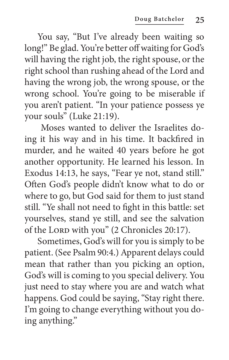You say, "But I've already been waiting so long!" Be glad. You're better off waiting for God's will having the right job, the right spouse, or the right school than rushing ahead of the Lord and having the wrong job, the wrong spouse, or the wrong school. You're going to be miserable if you aren't patient. "In your patience possess ye your souls" (Luke 21:19).

 Moses wanted to deliver the Israelites doing it his way and in his time. It backfired in murder, and he waited 40 years before he got another opportunity. He learned his lesson. In Exodus 14:13, he says, "Fear ye not, stand still." Often God's people didn't know what to do or where to go, but God said for them to just stand still. "Ye shall not need to fight in this battle: set yourselves, stand ye still, and see the salvation of the Lord with you" (2 Chronicles 20:17).

Sometimes, God's will for you is simply to be patient. (See Psalm 90:4.) Apparent delays could mean that rather than you picking an option, God's will is coming to you special delivery. You just need to stay where you are and watch what happens. God could be saying, "Stay right there. I'm going to change everything without you doing anything."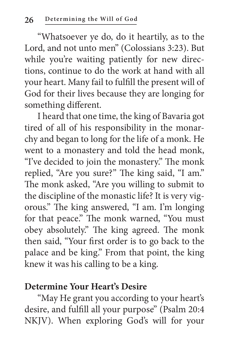"Whatsoever ye do, do it heartily, as to the Lord, and not unto men" (Colossians 3:23). But while you're waiting patiently for new directions, continue to do the work at hand with all your heart. Many fail to fulfill the present will of God for their lives because they are longing for something different.

I heard that one time, the king of Bavaria got tired of all of his responsibility in the monarchy and began to long for the life of a monk. He went to a monastery and told the head monk, "I've decided to join the monastery." The monk replied, "Are you sure?" The king said, "I am." The monk asked, "Are you willing to submit to the discipline of the monastic life? It is very vigorous." The king answered, "I am. I'm longing for that peace." The monk warned, "You must obey absolutely." The king agreed. The monk then said, "Your first order is to go back to the palace and be king." From that point, the king knew it was his calling to be a king.

#### **Determine Your Heart's Desire**

"May He grant you according to your heart's desire, and fulfill all your purpose" (Psalm 20:4 NKJV). When exploring God's will for your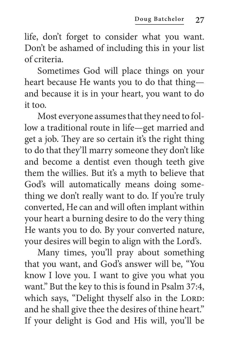life, don't forget to consider what you want. Don't be ashamed of including this in your list of criteria.

Sometimes God will place things on your heart because He wants you to do that thing and because it is in your heart, you want to do it too.

Most everyone assumes that they need to follow a traditional route in life—get married and get a job. They are so certain it's the right thing to do that they'll marry someone they don't like and become a dentist even though teeth give them the willies. But it's a myth to believe that God's will automatically means doing something we don't really want to do. If you're truly converted, He can and will often implant within your heart a burning desire to do the very thing He wants you to do. By your converted nature, your desires will begin to align with the Lord's.

Many times, you'll pray about something that you want, and God's answer will be, "You know I love you. I want to give you what you want." But the key to this is found in Psalm 37:4, which says, "Delight thyself also in the LORD: and he shall give thee the desires of thine heart." If your delight is God and His will, you'll be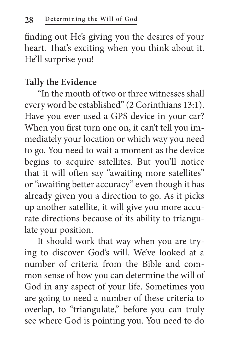finding out He's giving you the desires of your heart. That's exciting when you think about it. He'll surprise you!

#### **Tally the Evidence**

"In the mouth of two or three witnesses shall every word be established" (2 Corinthians 13:1). Have you ever used a GPS device in your car? When you first turn one on, it can't tell you immediately your location or which way you need to go. You need to wait a moment as the device begins to acquire satellites. But you'll notice that it will often say "awaiting more satellites" or "awaiting better accuracy" even though it has already given you a direction to go. As it picks up another satellite, it will give you more accurate directions because of its ability to triangulate your position.

It should work that way when you are trying to discover God's will. We've looked at a number of criteria from the Bible and common sense of how you can determine the will of God in any aspect of your life. Sometimes you are going to need a number of these criteria to overlap, to "triangulate," before you can truly see where God is pointing you. You need to do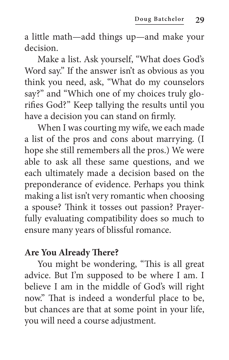a little math—add things up—and make your decision.

Make a list. Ask yourself, "What does God's Word say." If the answer isn't as obvious as you think you need, ask, "What do my counselors say?" and "Which one of my choices truly glorifies God?" Keep tallying the results until you have a decision you can stand on firmly.

When I was courting my wife, we each made a list of the pros and cons about marrying. (I hope she still remembers all the pros.) We were able to ask all these same questions, and we each ultimately made a decision based on the preponderance of evidence. Perhaps you think making a list isn't very romantic when choosing a spouse? Think it tosses out passion? Prayerfully evaluating compatibility does so much to ensure many years of blissful romance.

#### **Are You Already There?**

You might be wondering, "This is all great advice. But I'm supposed to be where I am. I believe I am in the middle of God's will right now." That is indeed a wonderful place to be, but chances are that at some point in your life, you will need a course adjustment.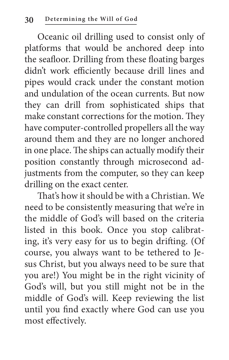Oceanic oil drilling used to consist only of platforms that would be anchored deep into the seafloor. Drilling from these floating barges didn't work efficiently because drill lines and pipes would crack under the constant motion and undulation of the ocean currents. But now they can drill from sophisticated ships that make constant corrections for the motion. They have computer-controlled propellers all the way around them and they are no longer anchored in one place. The ships can actually modify their position constantly through microsecond adjustments from the computer, so they can keep drilling on the exact center.

That's how it should be with a Christian. We need to be consistently measuring that we're in the middle of God's will based on the criteria listed in this book. Once you stop calibrating, it's very easy for us to begin drifting. (Of course, you always want to be tethered to Jesus Christ, but you always need to be sure that you are!) You might be in the right vicinity of God's will, but you still might not be in the middle of God's will. Keep reviewing the list until you find exactly where God can use you most effectively.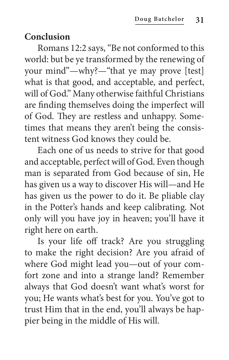#### **Conclusion**

Romans 12:2 says, "Be not conformed to this world: but be ye transformed by the renewing of your mind"—why?—"that ye may prove [test] what is that good, and acceptable, and perfect, will of God." Many otherwise faithful Christians are finding themselves doing the imperfect will of God. They are restless and unhappy. Sometimes that means they aren't being the consistent witness God knows they could be.

Each one of us needs to strive for that good and acceptable, perfect will of God. Even though man is separated from God because of sin, He has given us a way to discover His will—and He has given us the power to do it. Be pliable clay in the Potter's hands and keep calibrating. Not only will you have joy in heaven; you'll have it right here on earth.

Is your life off track? Are you struggling to make the right decision? Are you afraid of where God might lead you—out of your comfort zone and into a strange land? Remember always that God doesn't want what's worst for you; He wants what's best for you. You've got to trust Him that in the end, you'll always be happier being in the middle of His will.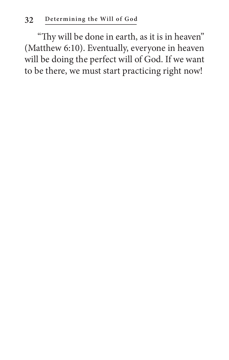"Thy will be done in earth, as it is in heaven" (Matthew 6:10). Eventually, everyone in heaven will be doing the perfect will of God. If we want to be there, we must start practicing right now!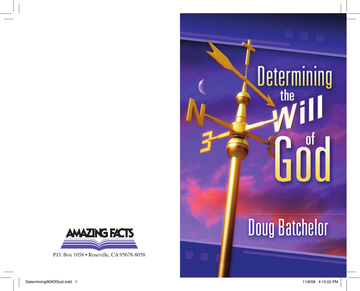

P.O. Box 1058 • Roseville, CA 95678-8058